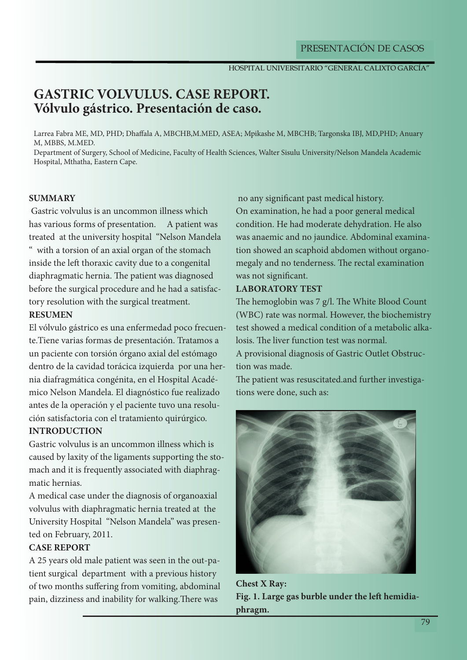# **GASTRIC VOLVULUS. CASE REPORT. Vólvulo gástrico. Presentación de caso.**

Larrea Fabra ME, MD, PHD; Dhaffala A, MBCHB,M.MED, ASEA; Mpikashe M, MBCHB; Targonska IBJ, MD,PHD; Anuary M, MBBS, M.MED.

Department of Surgery, School of Medicine, Faculty of Health Sciences, Walter Sisulu University/Nelson Mandela Academic Hospital, Mthatha, Eastern Cape.

## **SUMMARY**

 Gastric volvulus is an uncommon illness which has various forms of presentation. A patient was treated at the university hospital "Nelson Mandela " with a torsion of an axial organ of the stomach inside the left thoraxic cavity due to a congenital diaphragmatic hernia. The patient was diagnosed before the surgical procedure and he had a satisfactory resolution with the surgical treatment. **RESUMEN**

El vólvulo gástrico es una enfermedad poco frecuente.Tiene varias formas de presentación. Tratamos a un paciente con torsión órgano axial del estómago dentro de la cavidad torácica izquierda por una hernia diafragmática congénita, en el Hospital Académico Nelson Mandela. El diagnóstico fue realizado antes de la operación y el paciente tuvo una resolución satisfactoria con el tratamiento quirúrgico.

## **INTRODUCTION**

Gastric volvulus is an uncommon illness which is caused by laxity of the ligaments supporting the stomach and it is frequently associated with diaphragmatic hernias.

A medical case under the diagnosis of organoaxial volvulus with diaphragmatic hernia treated at the University Hospital "Nelson Mandela" was presented on February, 2011.

# **CASE REPORT**

A 25 years old male patient was seen in the out-patient surgical department with a previous history of two months suffering from vomiting, abdominal pain, dizziness and inability for walking.There was

no any significant past medical history.

On examination, he had a poor general medical condition. He had moderate dehydration. He also was anaemic and no jaundice. Abdominal examination showed an scaphoid abdomen without organomegaly and no tenderness. The rectal examination was not significant.

## **LABORATORY TEST**

The hemoglobin was 7 g/l. The White Blood Count (WBC) rate was normal. However, the biochemistry test showed a medical condition of a metabolic alkalosis. The liver function test was normal.

A provisional diagnosis of Gastric Outlet Obstruction was made.

The patient was resuscitated.and further investigations were done, such as:



**Chest X Ray: Fig. 1. Large gas burble under the left hemidiaphragm.**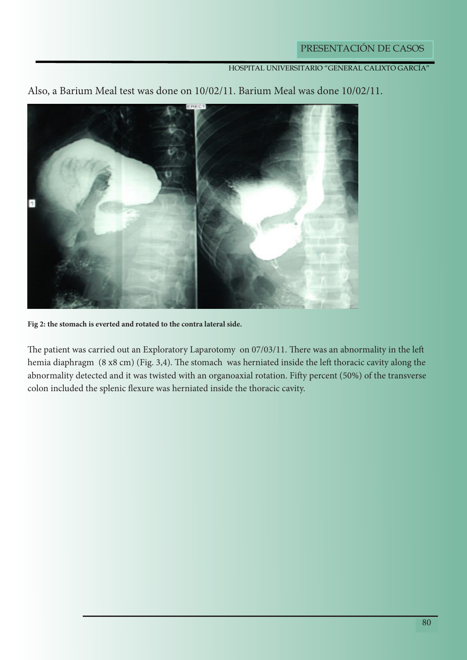Also, a Barium Meal test was done on 10/02/11. Barium Meal was done 10/02/11.



**Fig 2: the stomach is everted and rotated to the contra lateral side.**

The patient was carried out an Exploratory Laparotomy on 07/03/11. There was an abnormality in the left hemia diaphragm (8 x8 cm) (Fig. 3,4). The stomach was herniated inside the left thoracic cavity along the abnormality detected and it was twisted with an organoaxial rotation. Fifty percent (50%) of the transverse colon included the splenic flexure was herniated inside the thoracic cavity.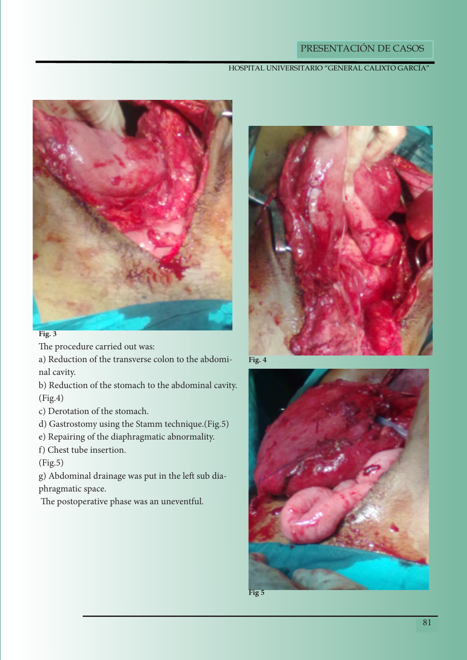# PRESENTACIÓN DE CASOS

# HOSPITAL UNIVERSITARIO "GENERAL CALIXTO GARCÍA"



#### **Fig. 3**

The procedure carried out was:

a) Reduction of the transverse colon to the abdominal cavity.

b) Reduction of the stomach to the abdominal cavity. (Fig.4)

c) Derotation of the stomach.

- d) Gastrostomy using the Stamm technique.(Fig.5)
- e) Repairing of the diaphragmatic abnormality.

f) Chest tube insertion.

(Fig.5)

g) Abdominal drainage was put in the left sub diaphragmatic space.

The postoperative phase was an uneventful.



**Fig. 4**



**Fig 5**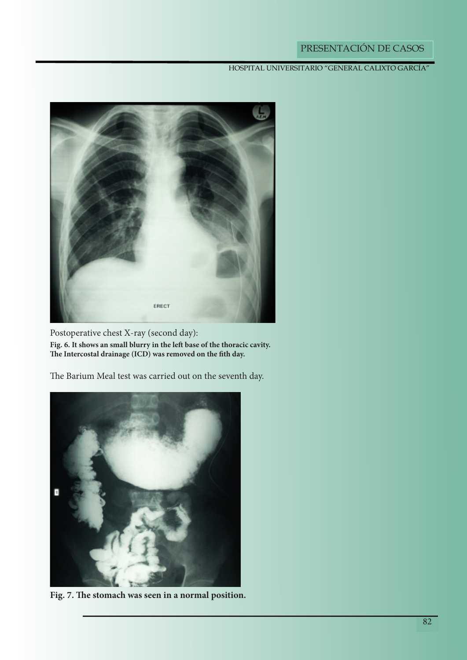

Postoperative chest X-ray (second day): **Fig. 6. It shows an small blurry in the left base of the thoracic cavity. The Intercostal drainage (ICD) was removed on the fith day.**

The Barium Meal test was carried out on the seventh day.



**Fig. 7. The stomach was seen in a normal position.**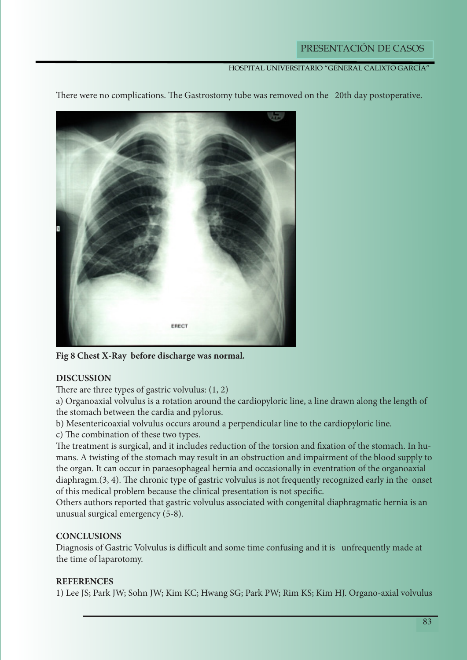There were no complications. The Gastrostomy tube was removed on the 20th day postoperative.



**Fig 8 Chest X-Ray before discharge was normal.**

#### **DISCUSSION**

There are three types of gastric volvulus: (1, 2)

a) Organoaxial volvulus is a rotation around the cardiopyloric line, a line drawn along the length of the stomach between the cardia and pylorus.

b) Mesentericoaxial volvulus occurs around a perpendicular line to the cardiopyloric line.

c) The combination of these two types.

The treatment is surgical, and it includes reduction of the torsion and fixation of the stomach. In humans. A twisting of the stomach may result in an obstruction and impairment of the blood supply to the organ. It can occur in paraesophageal hernia and occasionally in eventration of the organoaxial diaphragm.(3, 4). The chronic type of gastric volvulus is not frequently recognized early in the onset of this medical problem because the clinical presentation is not specific.

Others authors reported that gastric volvulus associated with congenital diaphragmatic hernia is an unusual surgical emergency (5-8).

#### **CONCLUSIONS**

Diagnosis of Gastric Volvulus is difficult and some time confusing and it is unfrequently made at the time of laparotomy.

#### **REFERENCES**

1) Lee JS; Park JW; Sohn JW; Kim KC; Hwang SG; Park PW; Rim KS; Kim HJ. Organo-axial volvulus